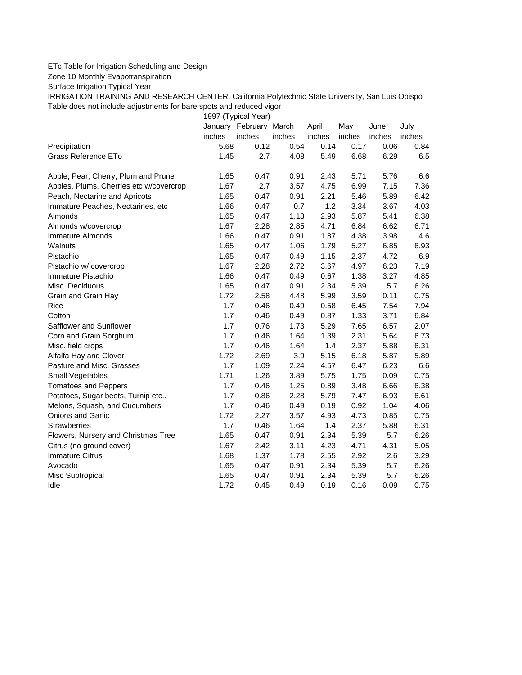## ETc Table for Irrigation Scheduling and Design

Zone 10 Monthly Evapotranspiration

Surface Irrigation Typical Year

IRRIGATION TRAINING AND RESEARCH CENTER, California Polytechnic State University, San Luis Obispo Table does not include adjustments for bare spots and reduced vigor

1997 (Typical Year)

|                                         |        | January February March |        | April  | May    | June   | July   |
|-----------------------------------------|--------|------------------------|--------|--------|--------|--------|--------|
|                                         | inches | inches                 | inches | inches | inches | inches | inches |
| Precipitation                           | 5.68   | 0.12                   | 0.54   | 0.14   | 0.17   | 0.06   | 0.84   |
| <b>Grass Reference ETo</b>              | 1.45   | 2.7                    | 4.08   | 5.49   | 6.68   | 6.29   | 6.5    |
| Apple, Pear, Cherry, Plum and Prune     | 1.65   | 0.47                   | 0.91   | 2.43   | 5.71   | 5.76   | 6.6    |
| Apples, Plums, Cherries etc w/covercrop | 1.67   | 2.7                    | 3.57   | 4.75   | 6.99   | 7.15   | 7.36   |
| Peach, Nectarine and Apricots           | 1.65   | 0.47                   | 0.91   | 2.21   | 5.46   | 5.89   | 6.42   |
| Immature Peaches, Nectarines, etc       | 1.66   | 0.47                   | 0.7    | 1.2    | 3.34   | 3.67   | 4.03   |
| Almonds                                 | 1.65   | 0.47                   | 1.13   | 2.93   | 5.87   | 5.41   | 6.38   |
| Almonds w/covercrop                     | 1.67   | 2.28                   | 2.85   | 4.71   | 6.84   | 6.62   | 6.71   |
| Immature Almonds                        | 1.66   | 0.47                   | 0.91   | 1.87   | 4.38   | 3.98   | 4.6    |
| Walnuts                                 | 1.65   | 0.47                   | 1.06   | 1.79   | 5.27   | 6.85   | 6.93   |
| Pistachio                               | 1.65   | 0.47                   | 0.49   | 1.15   | 2.37   | 4.72   | 6.9    |
| Pistachio w/ covercrop                  | 1.67   | 2.28                   | 2.72   | 3.67   | 4.97   | 6.23   | 7.19   |
| Immature Pistachio                      | 1.66   | 0.47                   | 0.49   | 0.67   | 1.38   | 3.27   | 4.85   |
| Misc. Deciduous                         | 1.65   | 0.47                   | 0.91   | 2.34   | 5.39   | 5.7    | 6.26   |
| Grain and Grain Hay                     | 1.72   | 2.58                   | 4.48   | 5.99   | 3.59   | 0.11   | 0.75   |
| Rice                                    | 1.7    | 0.46                   | 0.49   | 0.58   | 6.45   | 7.54   | 7.94   |
| Cotton                                  | 1.7    | 0.46                   | 0.49   | 0.87   | 1.33   | 3.71   | 6.84   |
| Safflower and Sunflower                 | 1.7    | 0.76                   | 1.73   | 5.29   | 7.65   | 6.57   | 2.07   |
| Corn and Grain Sorghum                  | 1.7    | 0.46                   | 1.64   | 1.39   | 2.31   | 5.64   | 6.73   |
| Misc. field crops                       | 1.7    | 0.46                   | 1.64   | 1.4    | 2.37   | 5.88   | 6.31   |
| Alfalfa Hay and Clover                  | 1.72   | 2.69                   | 3.9    | 5.15   | 6.18   | 5.87   | 5.89   |
| Pasture and Misc. Grasses               | 1.7    | 1.09                   | 2.24   | 4.57   | 6.47   | 6.23   | 6.6    |
| Small Vegetables                        | 1.71   | 1.26                   | 3.89   | 5.75   | 1.75   | 0.09   | 0.75   |
| <b>Tomatoes and Peppers</b>             | 1.7    | 0.46                   | 1.25   | 0.89   | 3.48   | 6.66   | 6.38   |
| Potatoes, Sugar beets, Turnip etc       | 1.7    | 0.86                   | 2.28   | 5.79   | 7.47   | 6.93   | 6.61   |
| Melons, Squash, and Cucumbers           | 1.7    | 0.46                   | 0.49   | 0.19   | 0.92   | 1.04   | 4.06   |
| <b>Onions and Garlic</b>                | 1.72   | 2.27                   | 3.57   | 4.93   | 4.73   | 0.85   | 0.75   |
| <b>Strawberries</b>                     | 1.7    | 0.46                   | 1.64   | 1.4    | 2.37   | 5.88   | 6.31   |
| Flowers, Nursery and Christmas Tree     | 1.65   | 0.47                   | 0.91   | 2.34   | 5.39   | 5.7    | 6.26   |
| Citrus (no ground cover)                | 1.67   | 2.42                   | 3.11   | 4.23   | 4.71   | 4.31   | 5.05   |
| <b>Immature Citrus</b>                  | 1.68   | 1.37                   | 1.78   | 2.55   | 2.92   | 2.6    | 3.29   |
| Avocado                                 | 1.65   | 0.47                   | 0.91   | 2.34   | 5.39   | 5.7    | 6.26   |
| Misc Subtropical                        | 1.65   | 0.47                   | 0.91   | 2.34   | 5.39   | 5.7    | 6.26   |
| Idle                                    | 1.72   | 0.45                   | 0.49   | 0.19   | 0.16   | 0.09   | 0.75   |